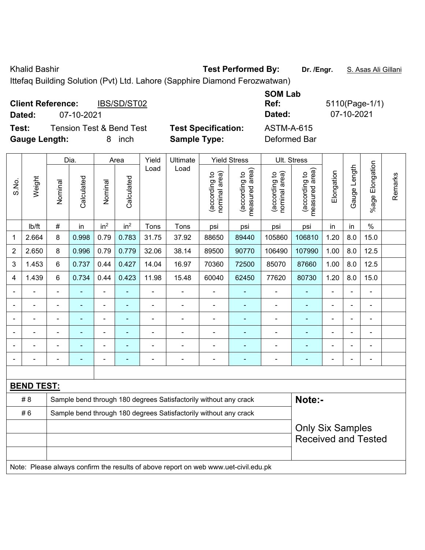Khalid Bashir **Test Performed By:** Dr. /Engr. **S. Asas Ali Gillani** Ali Cillani

Ittefaq Building Solution (Pvt) Ltd. Lahore (Sapphire Diamond Ferozwatwan)

| <b>Client Reference:</b><br>IBS/SD/ST02      |                            | <b>SOM Lab</b><br>Ref: | 5110(Page-1/1) |
|----------------------------------------------|----------------------------|------------------------|----------------|
| 07-10-2021<br>Dated:                         |                            | Dated:                 | 07-10-2021     |
| <b>Tension Test &amp; Bend Test</b><br>Test: | <b>Test Specification:</b> | <b>ASTM-A-615</b>      |                |
| <b>Gauge Length:</b><br>inch<br>8            | <b>Sample Type:</b>        | Deformed Bar           |                |

|                |                   |                            | Dia.       |                 | Area            | Yield          | Ultimate                                                                            |                                | <b>Yield Stress</b>             | Ult. Stress                    |                                 |                |              |                 |         |
|----------------|-------------------|----------------------------|------------|-----------------|-----------------|----------------|-------------------------------------------------------------------------------------|--------------------------------|---------------------------------|--------------------------------|---------------------------------|----------------|--------------|-----------------|---------|
| S.No.          | Weight            | Nominal                    | Calculated | Nominal         | Calculated      | Load           | Load                                                                                | nominal area)<br>(according to | (according to<br>measured area) | nominal area)<br>(according to | (according to<br>measured area) | Elongation     | Gauge Length | %age Elongation | Remarks |
|                | Ib/ft             | #                          | in         | in <sup>2</sup> | in <sup>2</sup> | Tons           | Tons                                                                                | psi                            | psi                             | psi                            | psi                             | in             | in           | $\%$            |         |
| 1              | 2.664             | 8                          | 0.998      | 0.79            | 0.783           | 31.75          | 37.92                                                                               | 88650                          | 89440                           | 105860                         | 106810                          | 1.20           | 8.0          | 15.0            |         |
| 2              | 2.650             | 8                          | 0.996      | 0.79            | 0.779           | 32.06          | 38.14                                                                               | 89500                          | 90770                           | 106490                         | 107990                          | 1.00           | 8.0          | 12.5            |         |
| 3              | 1.453             | 6                          | 0.737      | 0.44            | 0.427           | 14.04          | 16.97                                                                               | 70360                          | 72500                           | 85070                          | 87660                           | 1.00           | 8.0          | 12.5            |         |
| 4              | 1.439             | 6                          | 0.734      | 0.44            | 0.423           | 11.98          | 15.48                                                                               | 60040                          | 62450                           | 77620                          | 80730                           | 1.20           | 8.0          | 15.0            |         |
|                |                   | $\blacksquare$             | ä,         | ä,              |                 | ä,             | ä,                                                                                  | L,                             | ä,                              | $\blacksquare$                 | ä,                              | L,             | ä,           | $\blacksquare$  |         |
|                |                   |                            |            |                 |                 |                | ä,                                                                                  | L,                             | $\blacksquare$                  |                                |                                 |                |              | $\blacksquare$  |         |
|                | ÷                 |                            |            | $\blacksquare$  |                 |                | $\blacksquare$                                                                      | $\blacksquare$                 | $\blacksquare$                  | $\blacksquare$                 | $\blacksquare$                  | $\blacksquare$ |              | ä,              |         |
|                | ÷                 |                            |            | $\blacksquare$  |                 |                | Ě.                                                                                  | ä,                             | $\blacksquare$                  | $\blacksquare$                 |                                 | $\blacksquare$ |              | $\blacksquare$  |         |
| ÷              | ä,                |                            | ۰          | $\blacksquare$  |                 |                | Ē,                                                                                  | -                              | $\blacksquare$                  | $\blacksquare$                 | ۰                               | Ē,             |              | $\blacksquare$  |         |
| $\blacksquare$ | ä,                | $\blacksquare$             | ۰          | ä,              |                 | $\blacksquare$ | ä,                                                                                  | ä,                             | $\blacksquare$                  | $\blacksquare$                 | ÷                               | Ē,             |              | $\blacksquare$  |         |
|                |                   |                            |            |                 |                 |                |                                                                                     |                                |                                 |                                |                                 |                |              |                 |         |
|                | <b>BEND TEST:</b> |                            |            |                 |                 |                |                                                                                     |                                |                                 |                                |                                 |                |              |                 |         |
|                | #8                |                            |            |                 |                 |                | Sample bend through 180 degrees Satisfactorily without any crack                    |                                |                                 |                                | Note:-                          |                |              |                 |         |
|                | #6                |                            |            |                 |                 |                | Sample bend through 180 degrees Satisfactorily without any crack                    |                                |                                 |                                |                                 |                |              |                 |         |
|                |                   | <b>Only Six Samples</b>    |            |                 |                 |                |                                                                                     |                                |                                 |                                |                                 |                |              |                 |         |
|                |                   | <b>Received and Tested</b> |            |                 |                 |                |                                                                                     |                                |                                 |                                |                                 |                |              |                 |         |
|                |                   |                            |            |                 |                 |                |                                                                                     |                                |                                 |                                |                                 |                |              |                 |         |
|                |                   |                            |            |                 |                 |                | Note: Please always confirm the results of above report on web www.uet-civil.edu.pk |                                |                                 |                                |                                 |                |              |                 |         |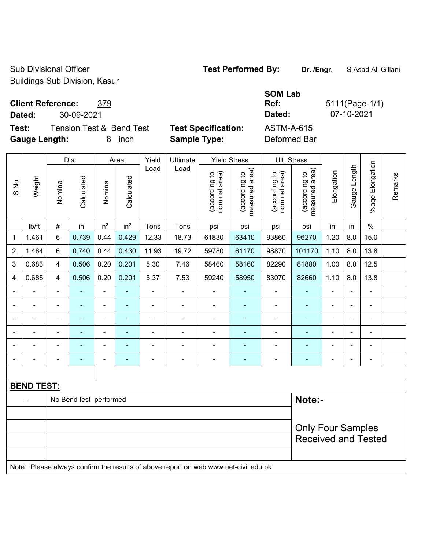Sub Divisional Officer **Test Performed By:** Dr. /Engr. **SAsad Ali Gillani** Sub Divisional Officer Buildings Sub Division, Kasur

**Client Reference:** 379

**Dated:** 30-09-2021 **Dated:** 07-10-2021

**Test:** Tension Test & Bend Test **Test Specification:** ASTM-A-615 **Gauge Length:** 8 inch **Sample Type:** Deformed Bar

**SOM Lab Ref:** 5111(Page-1/1)

|       |                   |                                                        | Dia.                   |                                | Area                            | Yield                          | Ultimate                           |                | <b>Yield Stress</b> |                       | Ult. Stress |                                                        |                          |                          |  |  |
|-------|-------------------|--------------------------------------------------------|------------------------|--------------------------------|---------------------------------|--------------------------------|------------------------------------|----------------|---------------------|-----------------------|-------------|--------------------------------------------------------|--------------------------|--------------------------|--|--|
| S.No. | Weight            | Load<br>Calculated<br>Calculated<br>Nominal<br>Nominal | Load                   | nominal area)<br>(according to | measured area)<br>(according to | (according to<br>nominal area) | area)<br>(according to<br>measured | Elongation     | Gauge Length        | Elongation<br>$%$ age | Remarks     |                                                        |                          |                          |  |  |
|       | lb/ft             | $\#$                                                   | in                     | in <sup>2</sup>                | in <sup>2</sup>                 | Tons                           | Tons                               | psi            | psi                 | psi                   | psi         | in                                                     | in                       | $\frac{0}{0}$            |  |  |
| 1     | 1.461             | 6                                                      | 0.739                  | 0.44                           | 0.429                           | 12.33                          | 18.73                              | 61830          | 63410               | 93860                 | 96270       | 1.20                                                   | 8.0                      | 15.0                     |  |  |
| 2     | 1.464             | 6                                                      | 0.740                  | 0.44                           | 0.430                           | 11.93                          | 19.72                              | 59780          | 61170               | 98870                 | 101170      | 1.10                                                   | 8.0                      | 13.8                     |  |  |
| 3     | 0.683             | 4                                                      | 0.506                  | 0.20                           | 0.201                           | 5.30                           | 7.46                               | 58460          | 58160               | 82290                 | 81880       | 1.00                                                   | 8.0                      | 12.5                     |  |  |
| 4     | 0.685             | 4                                                      | 0.506                  | 0.20                           | 0.201                           | 5.37                           | 7.53                               | 59240          | 58950               | 83070                 | 82660       | 1.10                                                   | 8.0                      | 13.8                     |  |  |
|       |                   | $\blacksquare$                                         |                        | $\blacksquare$                 |                                 | $\blacksquare$                 |                                    |                |                     |                       |             |                                                        |                          |                          |  |  |
|       |                   | $\blacksquare$                                         | $\blacksquare$         | $\blacksquare$                 | ٠                               | $\blacksquare$                 | $\blacksquare$                     | $\blacksquare$ | ٠                   | $\blacksquare$        |             | $\blacksquare$                                         |                          | $\blacksquare$           |  |  |
|       |                   |                                                        | $\blacksquare$         | $\qquad \qquad \blacksquare$   | $\overline{a}$                  | ÷                              | $\overline{\phantom{a}}$           | $\overline{a}$ | ٠                   | $\blacksquare$        | ٠           | ÷                                                      | $\overline{\phantom{a}}$ | $\overline{\phantom{a}}$ |  |  |
|       |                   | ä,                                                     | ÷                      | ۰                              | ٠                               | ÷                              | $\blacksquare$                     | $\blacksquare$ | ٠                   | $\blacksquare$        | ٠           | ۰                                                      | $\blacksquare$           | $\blacksquare$           |  |  |
|       |                   | $\blacksquare$                                         |                        | ۰                              |                                 | -                              |                                    |                |                     |                       |             | $\blacksquare$                                         |                          |                          |  |  |
|       |                   |                                                        |                        | ۰                              | $\overline{a}$                  | $\overline{a}$                 | $\overline{\phantom{0}}$           | $\overline{a}$ | $\overline{a}$      |                       | ÷           | ۰                                                      | Ē,                       | $\overline{\phantom{a}}$ |  |  |
|       |                   |                                                        |                        |                                |                                 |                                |                                    |                |                     |                       |             |                                                        |                          |                          |  |  |
|       | <b>BEND TEST:</b> |                                                        |                        |                                |                                 |                                |                                    |                |                     |                       |             |                                                        |                          |                          |  |  |
|       | --                |                                                        | No Bend test performed |                                |                                 |                                |                                    |                |                     |                       | Note:-      |                                                        |                          |                          |  |  |
|       |                   |                                                        |                        |                                |                                 |                                |                                    |                |                     |                       |             |                                                        |                          |                          |  |  |
|       |                   |                                                        |                        |                                |                                 |                                |                                    |                |                     |                       |             | <b>Only Four Samples</b><br><b>Received and Tested</b> |                          |                          |  |  |
|       |                   |                                                        |                        |                                |                                 |                                |                                    |                |                     |                       |             |                                                        |                          |                          |  |  |

Note: Please always confirm the results of above report on web www.uet-civil.edu.pk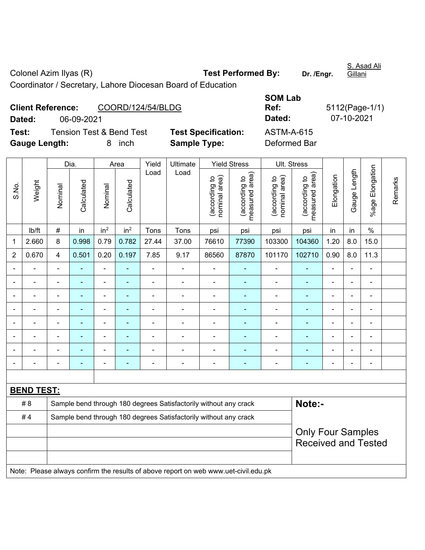Colonel Azim Ilyas (R) **Test Performed By:** Dr. /Engr. S. Asad Ali Gillani Coordinator / Secretary, Lahore Diocesan Board of Education

| <b>Client Reference:</b> |            | COORD/124/54/BLDG                   |                            | Ref:         | 5112(Page-1/ |
|--------------------------|------------|-------------------------------------|----------------------------|--------------|--------------|
| Dated:                   | 06-09-2021 |                                     |                            | Dated:       | 07-10-2021   |
| Test:                    |            | <b>Tension Test &amp; Bend Test</b> | <b>Test Specification:</b> | ASTM-A-615   |              |
| <b>Gauge Length:</b>     |            | inch                                | <b>Sample Type:</b>        | Deformed Bar |              |

| <b>SOM Lab</b> |                |
|----------------|----------------|
| Ref:           | 5112(Page-1/1) |
| Dated:         | 07-10-2021     |
| ASTM-A-615     |                |
| Deformed Bar   |                |

|                |                   |                          | Dia.           |                              | Area            | Yield          | Ultimate                                                                            |                               | <b>Yield Stress</b>             |                                | Ult. Stress                     |                          |                |                              |         |
|----------------|-------------------|--------------------------|----------------|------------------------------|-----------------|----------------|-------------------------------------------------------------------------------------|-------------------------------|---------------------------------|--------------------------------|---------------------------------|--------------------------|----------------|------------------------------|---------|
| S.No.          | Weight            | Nominal                  | Calculated     | Nominal                      | Calculated      | Load           | Load                                                                                | nominal area)<br>according to | measured area)<br>(according to | nominal area)<br>(according to | (according to<br>measured area) | Elongation               | Gauge Length   | %age Elongation              | Remarks |
|                | lb/ft             | $\#$                     | in             | in <sup>2</sup>              | in <sup>2</sup> | Tons           | Tons                                                                                | psi                           | psi                             | psi                            | psi                             | in                       | in             | $\%$                         |         |
| $\mathbf 1$    | 2.660             | 8                        | 0.998          | 0.79                         | 0.782           | 27.44          | 37.00                                                                               | 76610                         | 77390                           | 103300                         | 104360                          | 1.20                     | 8.0            | 15.0                         |         |
| $\overline{2}$ | 0.670             | 4                        | 0.501          | 0.20                         | 0.197           | 7.85           | 9.17                                                                                | 86560                         | 87870                           | 101170                         | 102710                          | 0.90                     | 8.0            | 11.3                         |         |
| $\blacksquare$ | $\blacksquare$    | $\blacksquare$           | ٠              | $\qquad \qquad \blacksquare$ | ۰               | $\blacksquare$ | $\blacksquare$                                                                      | $\blacksquare$                | $\blacksquare$                  | $\overline{\phantom{a}}$       | ٠                               | $\overline{\phantom{a}}$ | $\blacksquare$ | $\qquad \qquad \blacksquare$ |         |
| $\blacksquare$ | $\blacksquare$    | $\overline{\phantom{a}}$ | ÷,             | $\overline{\phantom{a}}$     | ۰               | $\blacksquare$ | ÷                                                                                   | ÷,                            | ÷                               | $\blacksquare$                 | $\blacksquare$                  | $\overline{\phantom{a}}$ | $\blacksquare$ | $\qquad \qquad \blacksquare$ |         |
| $\blacksquare$ | $\blacksquare$    | $\blacksquare$           | $\frac{1}{2}$  | $\blacksquare$               | ۰               | $\blacksquare$ | ä,                                                                                  | $\blacksquare$                | $\blacksquare$                  | $\blacksquare$                 | ÷                               | $\blacksquare$           | $\blacksquare$ | $\blacksquare$               |         |
|                |                   |                          | ÷,             |                              |                 |                |                                                                                     | Ē,                            |                                 |                                | ۰                               |                          |                | ÷                            |         |
| $\blacksquare$ |                   | $\blacksquare$           |                |                              |                 |                |                                                                                     |                               |                                 | $\blacksquare$                 |                                 | $\blacksquare$           |                | $\blacksquare$               |         |
| $\blacksquare$ |                   |                          |                |                              |                 |                |                                                                                     |                               |                                 |                                |                                 |                          |                |                              |         |
| $\blacksquare$ |                   | $\blacksquare$           | $\blacksquare$ | $\blacksquare$               |                 |                |                                                                                     | $\blacksquare$                |                                 | $\blacksquare$                 |                                 |                          |                | $\blacksquare$               |         |
| $\blacksquare$ |                   | $\blacksquare$           | $\blacksquare$ | $\overline{\phantom{0}}$     | ۰               | $\blacksquare$ | $\blacksquare$                                                                      | $\blacksquare$                | $\overline{a}$                  | $\blacksquare$                 | $\overline{\phantom{0}}$        | ٠                        | $\blacksquare$ | ÷                            |         |
|                |                   |                          |                |                              |                 |                |                                                                                     |                               |                                 |                                |                                 |                          |                |                              |         |
|                | <b>BEND TEST:</b> |                          |                |                              |                 |                |                                                                                     |                               |                                 |                                |                                 |                          |                |                              |         |
|                | # 8               |                          |                |                              |                 |                | Sample bend through 180 degrees Satisfactorily without any crack                    |                               |                                 |                                | Note:-                          |                          |                |                              |         |
|                | #4                |                          |                |                              |                 |                | Sample bend through 180 degrees Satisfactorily without any crack                    |                               |                                 |                                |                                 |                          |                |                              |         |
|                |                   |                          |                |                              |                 |                |                                                                                     |                               |                                 |                                |                                 | <b>Only Four Samples</b> |                |                              |         |
|                |                   |                          |                |                              |                 |                |                                                                                     |                               |                                 |                                | <b>Received and Tested</b>      |                          |                |                              |         |
|                |                   |                          |                |                              |                 |                | Note: Please always confirm the results of above report on web www.uet-civil.edu.pk |                               |                                 |                                |                                 |                          |                |                              |         |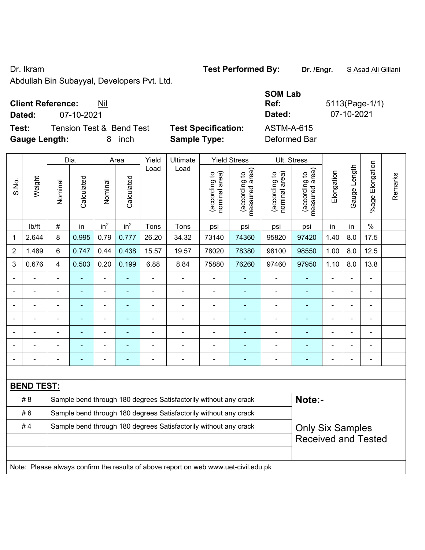Dr. Ikram **Test Performed By:** Dr. /Engr. **SAsad Ali Gillani** Collection 2014

Abdullah Bin Subayyal, Developers Pvt. Ltd.

## **Client Reference:** Nil

**Test:** Tension Test & Bend Test Test Specification: **Gauge Length:** 8 inch **Sample Type:** Deformed Bar

| <b>Client Reference:</b><br>Nil   |                            | <b>SOM Lab</b><br>Ref: | $5113(Page-1/1)$ |
|-----------------------------------|----------------------------|------------------------|------------------|
| 07-10-2021<br>Dated:              |                            | Dated:                 | 07-10-2021       |
| Test:<br>Tension Test & Bend Test | <b>Test Specification:</b> | ASTM-A-615             |                  |
| Gauge Length:<br>8 inch           | Sample Type:               | Deformed Bar           |                  |

|                |                   |                                                                  | Dia.           |                          | Area            |                          | Yield<br>Ultimate                                                                   |                               | <b>Yield Stress</b>             |                                | Ult. Stress                     |                         |                |                       |         |
|----------------|-------------------|------------------------------------------------------------------|----------------|--------------------------|-----------------|--------------------------|-------------------------------------------------------------------------------------|-------------------------------|---------------------------------|--------------------------------|---------------------------------|-------------------------|----------------|-----------------------|---------|
| S.No.          | Weight            | Nominal                                                          | Calculated     | Nominal                  | Calculated      | Load                     | Load                                                                                | nominal area)<br>according to | (according to<br>measured area) | (according to<br>nominal area) | (according to<br>measured area) | Elongation              | Gauge Length   | Elongation<br>$%$ age | Remarks |
|                | lb/ft             | #                                                                | in             | in <sup>2</sup>          | in <sup>2</sup> | Tons                     | Tons                                                                                | psi                           | psi                             | psi                            | psi                             | in                      | in             | $\frac{0}{0}$         |         |
| 1              | 2.644             | 8                                                                | 0.995          | 0.79                     | 0.777           | 26.20                    | 34.32                                                                               | 73140                         | 74360                           | 95820                          | 97420                           | 1.40                    | 8.0            | 17.5                  |         |
| $\overline{2}$ | 1.489             | 6                                                                | 0.747          | 0.44                     | 0.438           | 15.57                    | 19.57                                                                               | 78020                         | 78380                           | 98100                          | 98550                           | 1.00                    | 8.0            | 12.5                  |         |
| 3              | 0.676             | 4                                                                | 0.503          | 0.20                     | 0.199           | 6.88                     | 8.84                                                                                | 75880                         | 76260                           | 97460                          | 97950                           | 1.10                    | 8.0            | 13.8                  |         |
| $\blacksquare$ |                   | $\blacksquare$                                                   |                |                          |                 | $\blacksquare$           | $\blacksquare$                                                                      | ä,                            | Ξ                               | $\blacksquare$                 |                                 | ä,                      | ÷              | ä,                    |         |
|                | $\blacksquare$    | $\blacksquare$                                                   | $\blacksquare$ | $\overline{\phantom{a}}$ | $\blacksquare$  | $\overline{\phantom{a}}$ | $\blacksquare$                                                                      | $\blacksquare$                | Ξ                               | $\blacksquare$                 | $\blacksquare$                  | ä,                      | L.             | ÷,                    |         |
|                | $\blacksquare$    | L,                                                               | $\blacksquare$ | $\blacksquare$           | ä,              | $\blacksquare$           |                                                                                     | Ē,                            | ÷                               |                                |                                 | ä,                      | ä,             | ÷,                    |         |
|                |                   |                                                                  | ÷              | $\blacksquare$           |                 | $\blacksquare$           | $\blacksquare$                                                                      | Ē,                            | ä,                              | $\blacksquare$                 |                                 | ä,                      | $\blacksquare$ | $\blacksquare$        |         |
|                |                   |                                                                  |                |                          |                 |                          |                                                                                     |                               | ۳                               |                                |                                 |                         |                | $\overline{a}$        |         |
|                |                   |                                                                  |                |                          |                 |                          |                                                                                     |                               | -                               |                                |                                 |                         |                | ۰                     |         |
|                |                   |                                                                  |                | ÷                        |                 | $\overline{a}$           | $\blacksquare$                                                                      | $\blacksquare$                | ÷                               | ÷                              | $\blacksquare$                  | L,                      |                | ÷,                    |         |
|                |                   |                                                                  |                |                          |                 |                          |                                                                                     |                               |                                 |                                |                                 |                         |                |                       |         |
|                | <b>BEND TEST:</b> |                                                                  |                |                          |                 |                          |                                                                                     |                               |                                 |                                |                                 |                         |                |                       |         |
|                | # 8               |                                                                  |                |                          |                 |                          | Sample bend through 180 degrees Satisfactorily without any crack                    |                               |                                 |                                | Note:-                          |                         |                |                       |         |
|                | #6                |                                                                  |                |                          |                 |                          | Sample bend through 180 degrees Satisfactorily without any crack                    |                               |                                 |                                |                                 |                         |                |                       |         |
|                | #4                | Sample bend through 180 degrees Satisfactorily without any crack |                |                          |                 |                          |                                                                                     |                               |                                 |                                |                                 | <b>Only Six Samples</b> |                |                       |         |
|                |                   |                                                                  |                |                          |                 |                          |                                                                                     |                               |                                 |                                | <b>Received and Tested</b>      |                         |                |                       |         |
|                |                   |                                                                  |                |                          |                 |                          |                                                                                     |                               |                                 |                                |                                 |                         |                |                       |         |
|                |                   |                                                                  |                |                          |                 |                          | Note: Please always confirm the results of above report on web www.uet-civil.edu.pk |                               |                                 |                                |                                 |                         |                |                       |         |